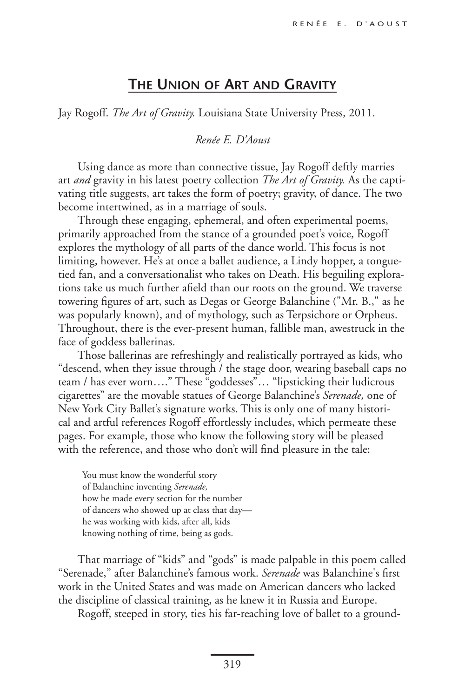## **The Union of Art and Gravity**

Jay Rogoff. *The Art of Gravity.* Louisiana State University Press, 2011.

## *Renée E. D'Aoust*

Using dance as more than connective tissue, Jay Rogoff deftly marries art *and* gravity in his latest poetry collection *The Art of Gravity.* As the captivating title suggests, art takes the form of poetry; gravity, of dance. The two become intertwined, as in a marriage of souls.

Through these engaging, ephemeral, and often experimental poems, primarily approached from the stance of a grounded poet's voice, Rogoff explores the mythology of all parts of the dance world. This focus is not limiting, however. He's at once a ballet audience, a Lindy hopper, a tonguetied fan, and a conversationalist who takes on Death. His beguiling explorations take us much further afield than our roots on the ground. We traverse towering figures of art, such as Degas or George Balanchine ("Mr. B.," as he was popularly known), and of mythology, such as Terpsichore or Orpheus. Throughout, there is the ever-present human, fallible man, awestruck in the face of goddess ballerinas.

Those ballerinas are refreshingly and realistically portrayed as kids, who "descend, when they issue through / the stage door, wearing baseball caps no team / has ever worn…." These "goddesses"… "lipsticking their ludicrous cigarettes" are the movable statues of George Balanchine's *Serenade,* one of New York City Ballet's signature works. This is only one of many historical and artful references Rogoff effortlessly includes, which permeate these pages. For example, those who know the following story will be pleased with the reference, and those who don't will find pleasure in the tale:

You must know the wonderful story of Balanchine inventing *Serenade,* how he made every section for the number of dancers who showed up at class that day he was working with kids, after all, kids knowing nothing of time, being as gods.

That marriage of "kids" and "gods" is made palpable in this poem called "Serenade," after Balanchine's famous work. *Serenade* was Balanchine's first work in the United States and was made on American dancers who lacked the discipline of classical training, as he knew it in Russia and Europe.

Rogoff, steeped in story, ties his far-reaching love of ballet to a ground-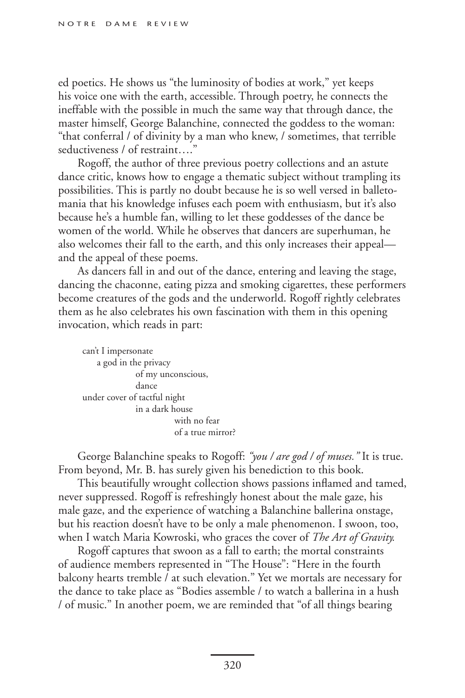ed poetics. He shows us "the luminosity of bodies at work," yet keeps his voice one with the earth, accessible. Through poetry, he connects the ineffable with the possible in much the same way that through dance, the master himself, George Balanchine, connected the goddess to the woman: "that conferral / of divinity by a man who knew, / sometimes, that terrible seductiveness / of restraint....

Rogoff, the author of three previous poetry collections and an astute dance critic, knows how to engage a thematic subject without trampling its possibilities. This is partly no doubt because he is so well versed in balletomania that his knowledge infuses each poem with enthusiasm, but it's also because he's a humble fan, willing to let these goddesses of the dance be women of the world. While he observes that dancers are superhuman, he also welcomes their fall to the earth, and this only increases their appeal and the appeal of these poems.

As dancers fall in and out of the dance, entering and leaving the stage, dancing the chaconne, eating pizza and smoking cigarettes, these performers become creatures of the gods and the underworld. Rogoff rightly celebrates them as he also celebrates his own fascination with them in this opening invocation, which reads in part:

can't I impersonate a god in the privacy of my unconscious, dance under cover of tactful night in a dark house with no fear of a true mirror?

George Balanchine speaks to Rogoff: *"you / are god / of muses."* It is true. From beyond, Mr. B. has surely given his benediction to this book.

This beautifully wrought collection shows passions inflamed and tamed, never suppressed. Rogoff is refreshingly honest about the male gaze, his male gaze, and the experience of watching a Balanchine ballerina onstage, but his reaction doesn't have to be only a male phenomenon. I swoon, too, when I watch Maria Kowroski, who graces the cover of *The Art of Gravity.*

Rogoff captures that swoon as a fall to earth; the mortal constraints of audience members represented in "The House": "Here in the fourth balcony hearts tremble / at such elevation." Yet we mortals are necessary for the dance to take place as "Bodies assemble / to watch a ballerina in a hush / of music." In another poem, we are reminded that "of all things bearing